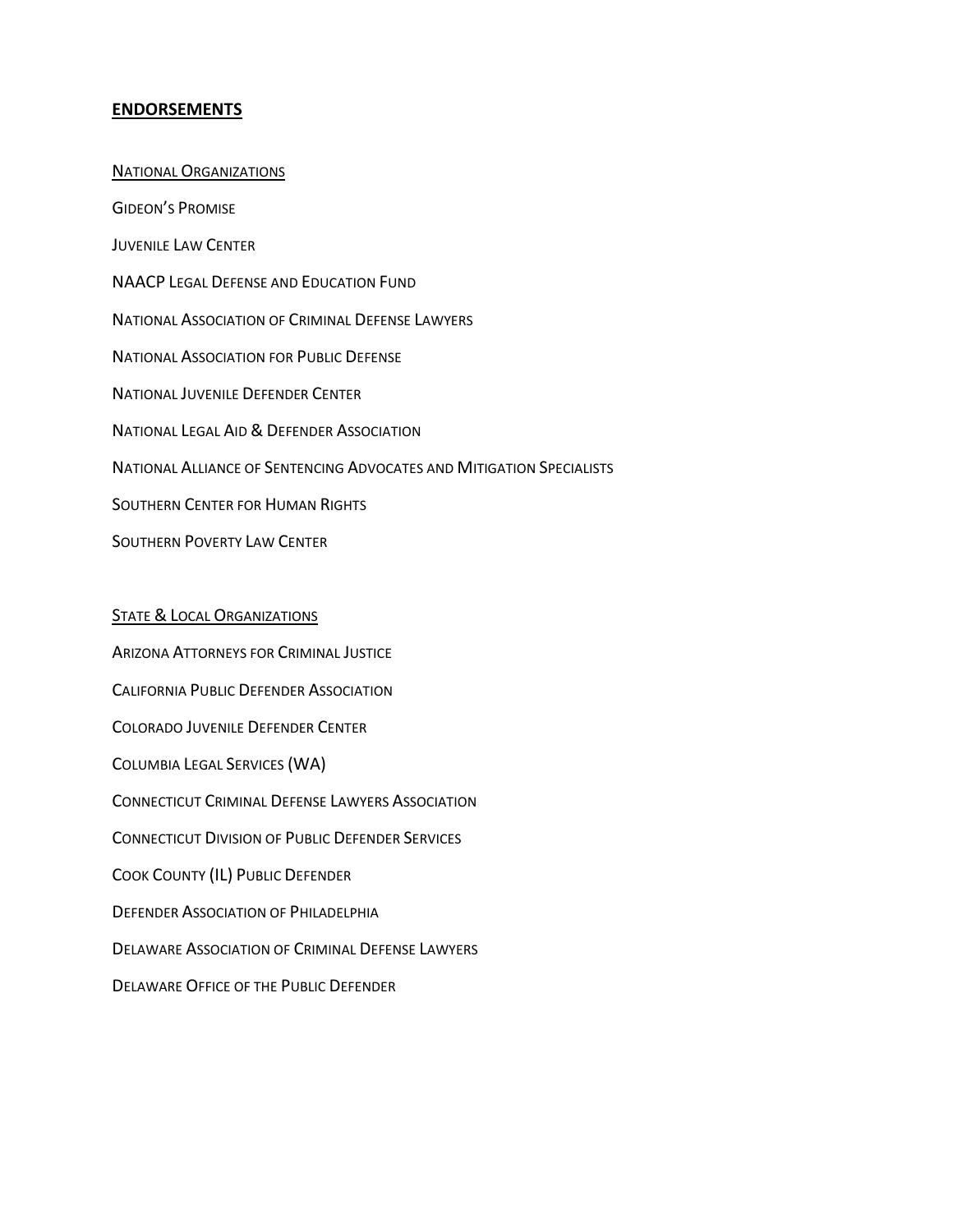## **ENDORSEMENTS**

NATIONAL ORGANIZATIONS GIDEON'S PROMISE JUVENILE LAW CENTER NAACP LEGAL DEFENSE AND EDUCATION FUND NATIONAL ASSOCIATION OF CRIMINAL DEFENSE LAWYERS NATIONAL ASSOCIATION FOR PUBLIC DEFENSE NATIONAL JUVENILE DEFENDER CENTER NATIONAL LEGAL AID & DEFENDER ASSOCIATION NATIONAL ALLIANCE OF SENTENCING ADVOCATES AND MITIGATION SPECIALISTS SOUTHERN CENTER FOR HUMAN RIGHTS SOUTHERN POVERTY LAW CENTER

## **STATE & LOCAL ORGANIZATIONS**

ARIZONA ATTORNEYS FOR CRIMINAL JUSTICE CALIFORNIA PUBLIC DEFENDER ASSOCIATION COLORADO JUVENILE DEFENDER CENTER COLUMBIA LEGAL SERVICES (WA) CONNECTICUT CRIMINAL DEFENSE LAWYERS ASSOCIATION CONNECTICUT DIVISION OF PUBLIC DEFENDER SERVICES COOK COUNTY (IL) PUBLIC DEFENDER DEFENDER ASSOCIATION OF PHILADELPHIA DELAWARE ASSOCIATION OF CRIMINAL DEFENSE LAWYERS DELAWARE OFFICE OF THE PUBLIC DEFENDER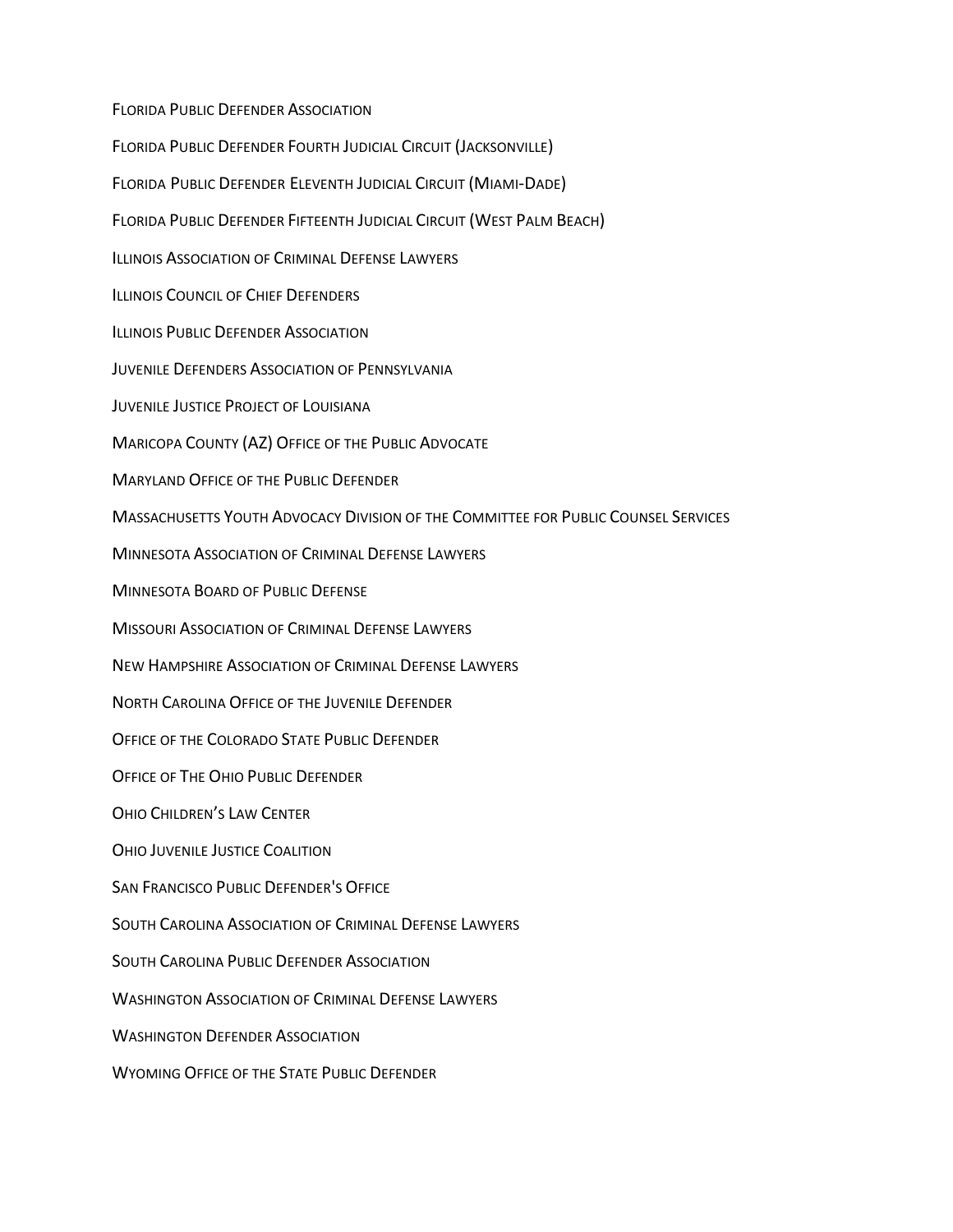FLORIDA PUBLIC DEFENDER ASSOCIATION FLORIDA PUBLIC DEFENDER FOURTH JUDICIAL CIRCUIT (JACKSONVILLE) FLORIDA PUBLIC DEFENDER ELEVENTH JUDICIAL CIRCUIT (MIAMI-DADE) FLORIDA PUBLIC DEFENDER FIFTEENTH JUDICIAL CIRCUIT (WEST PALM BEACH) ILLINOIS ASSOCIATION OF CRIMINAL DEFENSE LAWYERS ILLINOIS COUNCIL OF CHIEF DEFENDERS ILLINOIS PUBLIC DEFENDER ASSOCIATION JUVENILE DEFENDERS ASSOCIATION OF PENNSYLVANIA JUVENILE JUSTICE PROJECT OF LOUISIANA MARICOPA COUNTY (AZ) OFFICE OF THE PUBLIC ADVOCATE MARYLAND OFFICE OF THE PUBLIC DEFENDER MASSACHUSETTS YOUTH ADVOCACY DIVISION OF THE COMMITTEE FOR PUBLIC COUNSEL SERVICES MINNESOTA ASSOCIATION OF CRIMINAL DEFENSE LAWYERS MINNESOTA BOARD OF PUBLIC DEFENSE MISSOURI ASSOCIATION OF CRIMINAL DEFENSE LAWYERS NEW HAMPSHIRE ASSOCIATION OF CRIMINAL DEFENSE LAWYERS NORTH CAROLINA OFFICE OF THE JUVENILE DEFENDER OFFICE OF THE COLORADO STATE PUBLIC DEFENDER OFFICE OF THE OHIO PUBLIC DEFENDER OHIO CHILDREN'S LAW CENTER OHIO JUVENILE JUSTICE COALITION SAN FRANCISCO PUBLIC DEFENDER'S OFFICE SOUTH CAROLINA ASSOCIATION OF CRIMINAL DEFENSE LAWYERS SOUTH CAROLINA PUBLIC DEFENDER ASSOCIATION WASHINGTON ASSOCIATION OF CRIMINAL DEFENSE LAWYERS WASHINGTON DEFENDER ASSOCIATION WYOMING OFFICE OF THE STATE PUBLIC DEFENDER